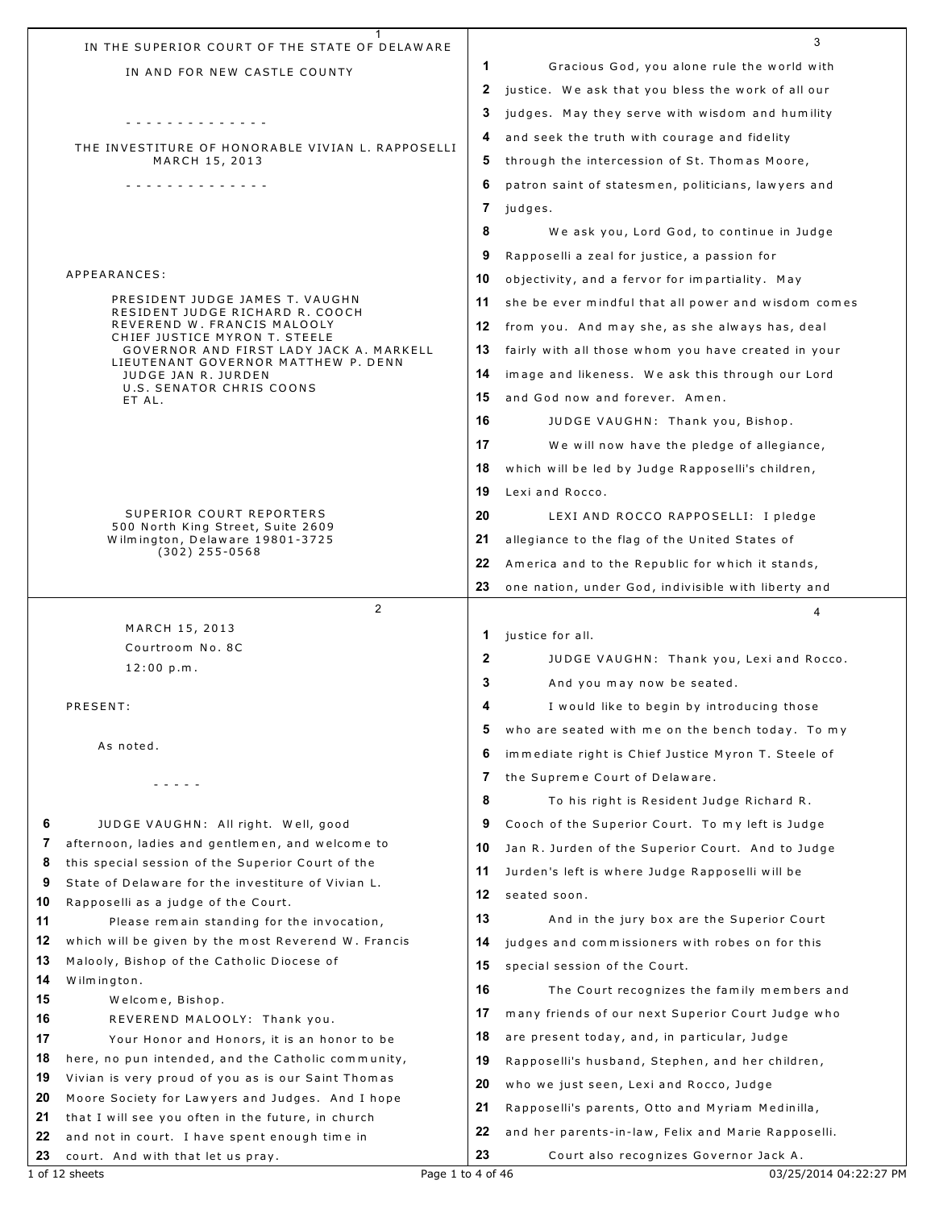|                | 1<br>IN THE SUPERIOR COURT OF THE STATE OF DELAWARE                                                  |              | 3                                                   |
|----------------|------------------------------------------------------------------------------------------------------|--------------|-----------------------------------------------------|
|                | IN AND FOR NEW CASTLE COUNTY                                                                         | 1            | Gracious God, you alone rule the world with         |
|                |                                                                                                      | 2            | justice. We ask that you bless the work of all our  |
|                |                                                                                                      | 3            | judges. May they serve with wisdom and humility     |
|                | .                                                                                                    | 4            | and seek the truth with courage and fidelity        |
|                | THE INVESTITURE OF HONORABLE VIVIAN L. RAPPOSELLI<br>MARCH 15, 2013                                  | 5            | through the intercession of St. Thomas Moore,       |
|                | .                                                                                                    | 6            | patron saint of statesmen, politicians, lawyers and |
|                |                                                                                                      | 7            | judges.                                             |
|                |                                                                                                      | 8            | We ask you, Lord God, to continue in Judge          |
|                |                                                                                                      | 9            | Rapposelli a zeal for justice, a passion for        |
|                | APPEARANCES:                                                                                         | 10           | objectivity, and a fervor for impartiality. May     |
|                | PRESIDENT JUDGE JAMES T. VAUGHN                                                                      | 11           | she be ever mindful that all power and wisdom comes |
|                | RESIDENT JUDGE RICHARD R. COOCH<br>REVEREND W. FRANCIS MALOOLY                                       | 12           |                                                     |
|                | CHIEF JUSTICE MYRON T. STEELE                                                                        |              | from you. And may she, as she always has, deal      |
|                | GOVERNOR AND FIRST LADY JACK A. MARKELL<br>LIEUTENANT GOVERNOR MATTHEW P. DENN                       | 13           | fairly with all those whom you have created in your |
|                | JUDGE JAN R. JURDEN<br>U.S. SENATOR CHRIS COONS                                                      | 14           | image and likeness. We ask this through our Lord    |
|                | ET AL.                                                                                               | 15           | and God now and forever. Amen.                      |
|                |                                                                                                      | 16           | JUDGE VAUGHN: Thank you, Bishop.                    |
|                |                                                                                                      | 17           | We will now have the pledge of allegiance,          |
|                |                                                                                                      | 18           | which will be led by Judge Rapposelli's children,   |
|                |                                                                                                      | 19           | Lexi and Rocco.                                     |
|                | SUPERIOR COURT REPORTERS<br>500 North King Street, Suite 2609                                        | 20           | LEXI AND ROCCO RAPPOSELLI: I pledge                 |
|                | Wilmington, Delaware 19801-3725                                                                      | 21           | allegiance to the flag of the United States of      |
|                | $(302)$ 255-0568                                                                                     | 22           | America and to the Republic for which it stands,    |
|                |                                                                                                      | 23           | one nation, under God, indivisible with liberty and |
|                |                                                                                                      |              |                                                     |
|                | $\overline{2}$                                                                                       |              | 4                                                   |
|                | MARCH 15, 2013                                                                                       | 1            | justice for all.                                    |
|                | Courtroom No. 8C                                                                                     | $\mathbf{2}$ | JUDGE VAUGHN: Thank you, Lexi and Rocco.            |
|                | 12:00 p.m.                                                                                           | 3            | And you may now be seated.                          |
|                | PRESENT:                                                                                             | 4            | I would like to begin by introducing those          |
|                |                                                                                                      | 5            |                                                     |
|                | As noted.                                                                                            |              | who are seated with me on the bench today. To my    |
|                |                                                                                                      | 6            | immediate right is Chief Justice Myron T. Steele of |
|                | - - - - -                                                                                            | 7            | the Supreme Court of Delaware.                      |
|                |                                                                                                      | 8            | To his right is Resident Judge Richard R.           |
| 6              | JUDGE VAUGHN: All right. Well, good                                                                  | 9            | Cooch of the Superior Court. To my left is Judge    |
| 7<br>8         | afternoon, ladies and gentlemen, and welcome to<br>this special session of the Superior Court of the | 10           | Jan R. Jurden of the Superior Court. And to Judge   |
| 9              | State of Delaware for the investiture of Vivian L.                                                   | 11           | Jurden's left is where Judge Rapposelli will be     |
| 10             | Rapposelli as a judge of the Court.                                                                  | 12           | seated soon.                                        |
| 11             | Please remain standing for the invocation,                                                           | 13           | And in the jury box are the Superior Court          |
| 12             | which will be given by the most Reverend W. Francis                                                  | 14           | judges and commissioners with robes on for this     |
| 13             | Malooly, Bishop of the Catholic Diocese of                                                           | 15           | special session of the Court.                       |
| 14<br>15       | Wilmington.<br>Welcome, Bishop.                                                                      | 16           | The Court recognizes the family members and         |
| 16             | REVEREND MALOOLY: Thank you.                                                                         | 17           | many friends of our next Superior Court Judge who   |
| 17             | Your Honor and Honors, it is an honor to be                                                          | 18           | are present today, and, in particular, Judge        |
| 18             | here, no pun intended, and the Catholic community,                                                   | 19           | Rapposelli's husband, Stephen, and her children,    |
| 19             | Vivian is very proud of you as is our Saint Thomas                                                   | 20           | who we just seen, Lexi and Rocco, Judge             |
|                | Moore Society for Lawyers and Judges. And I hope                                                     | 21           | Rapposelli's parents, Otto and Myriam Medinilla,    |
| 20<br>21<br>22 | that I will see you often in the future, in church<br>and not in court. I have spent enough time in  | 22           | and her parents-in-law, Felix and Marie Rapposelli. |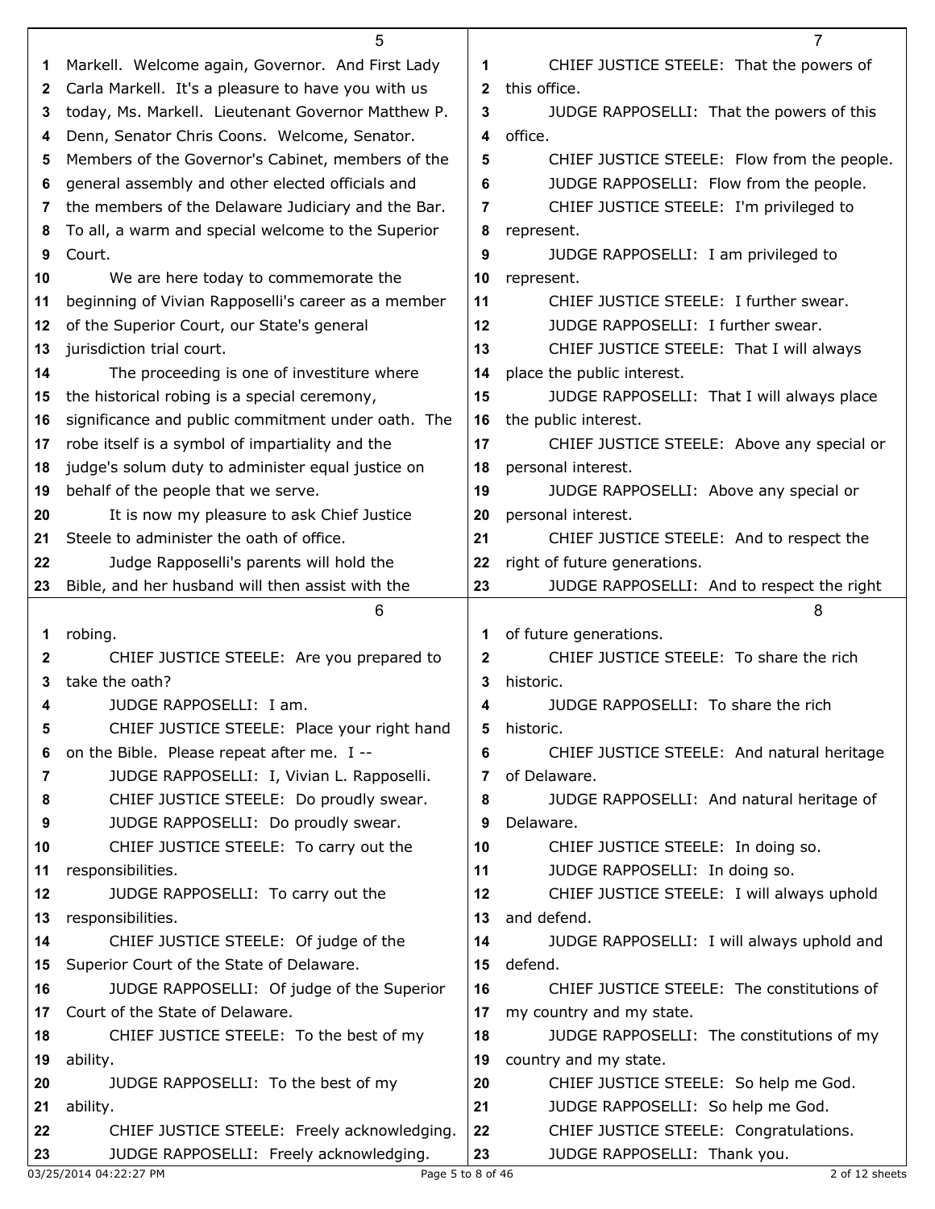|    | 5                                                   |              | 7                                           |
|----|-----------------------------------------------------|--------------|---------------------------------------------|
| 1  | Markell. Welcome again, Governor. And First Lady    | 1            | CHIEF JUSTICE STEELE: That the powers of    |
| 2  | Carla Markell. It's a pleasure to have you with us  | $\mathbf{2}$ | this office.                                |
| 3  | today, Ms. Markell. Lieutenant Governor Matthew P.  | 3            | JUDGE RAPPOSELLI: That the powers of this   |
| 4  | Denn, Senator Chris Coons. Welcome, Senator.        | 4            | office.                                     |
| 5  | Members of the Governor's Cabinet, members of the   | 5            | CHIEF JUSTICE STEELE: Flow from the people. |
| 6  | general assembly and other elected officials and    | 6            | JUDGE RAPPOSELLI: Flow from the people.     |
| 7  | the members of the Delaware Judiciary and the Bar.  | 7            | CHIEF JUSTICE STEELE: I'm privileged to     |
| 8  | To all, a warm and special welcome to the Superior  | 8            | represent.                                  |
| 9  | Court.                                              | 9            | JUDGE RAPPOSELLI: I am privileged to        |
| 10 | We are here today to commemorate the                | 10           | represent.                                  |
| 11 | beginning of Vivian Rapposelli's career as a member | 11           | CHIEF JUSTICE STEELE: I further swear.      |
| 12 | of the Superior Court, our State's general          | 12           | JUDGE RAPPOSELLI: I further swear.          |
| 13 | jurisdiction trial court.                           | 13           | CHIEF JUSTICE STEELE: That I will always    |
| 14 | The proceeding is one of investiture where          | 14           | place the public interest.                  |
| 15 | the historical robing is a special ceremony,        | 15           | JUDGE RAPPOSELLI: That I will always place  |
| 16 | significance and public commitment under oath. The  | 16           | the public interest.                        |
| 17 | robe itself is a symbol of impartiality and the     | 17           | CHIEF JUSTICE STEELE: Above any special or  |
| 18 | judge's solum duty to administer equal justice on   | 18           | personal interest.                          |
| 19 | behalf of the people that we serve.                 | 19           | JUDGE RAPPOSELLI: Above any special or      |
| 20 | It is now my pleasure to ask Chief Justice          | 20           | personal interest.                          |
| 21 | Steele to administer the oath of office.            | 21           | CHIEF JUSTICE STEELE: And to respect the    |
| 22 | Judge Rapposelli's parents will hold the            | 22           | right of future generations.                |
| 23 | Bible, and her husband will then assist with the    | 23           | JUDGE RAPPOSELLI: And to respect the right  |
|    |                                                     |              |                                             |
|    | 6                                                   |              | 8                                           |
| 1  | robing.                                             | 1            | of future generations.                      |
| 2  | CHIEF JUSTICE STEELE: Are you prepared to           | $\mathbf{2}$ | CHIEF JUSTICE STEELE: To share the rich     |
| 3  | take the oath?                                      | 3            | historic.                                   |
| 4  | JUDGE RAPPOSELLI: I am.                             | 4            | JUDGE RAPPOSELLI: To share the rich         |
| 5  | CHIEF JUSTICE STEELE: Place your right hand         | 5            | historic.                                   |
| 6  | on the Bible. Please repeat after me. I --          | 6            | CHIEF JUSTICE STEELE: And natural heritage  |
| 7  | JUDGE RAPPOSELLI: I, Vivian L. Rapposelli.          | 7            | of Delaware.                                |
| 8  | CHIEF JUSTICE STEELE: Do proudly swear.             | 8            | JUDGE RAPPOSELLI: And natural heritage of   |
| 9  | JUDGE RAPPOSELLI: Do proudly swear.                 | 9            | Delaware.                                   |
| 10 | CHIEF JUSTICE STEELE: To carry out the              | 10           | CHIEF JUSTICE STEELE: In doing so.          |
| 11 | responsibilities.                                   | 11           | JUDGE RAPPOSELLI: In doing so.              |
| 12 | JUDGE RAPPOSELLI: To carry out the                  | 12           | CHIEF JUSTICE STEELE: I will always uphold  |
| 13 | responsibilities.                                   | 13           | and defend.                                 |
| 14 | CHIEF JUSTICE STEELE: Of judge of the               | 14           | JUDGE RAPPOSELLI: I will always uphold and  |
| 15 | Superior Court of the State of Delaware.            | 15           | defend.                                     |
| 16 | JUDGE RAPPOSELLI: Of judge of the Superior          | 16           | CHIEF JUSTICE STEELE: The constitutions of  |
| 17 | Court of the State of Delaware.                     | 17           | my country and my state.                    |
| 18 | CHIEF JUSTICE STEELE: To the best of my             | 18           | JUDGE RAPPOSELLI: The constitutions of my   |
| 19 | ability.                                            | 19           | country and my state.                       |
| 20 | JUDGE RAPPOSELLI: To the best of my                 | 20           | CHIEF JUSTICE STEELE: So help me God.       |
| 21 | ability.                                            | 21           | JUDGE RAPPOSELLI: So help me God.           |
| 22 | CHIEF JUSTICE STEELE: Freely acknowledging.         | 22           | CHIEF JUSTICE STEELE: Congratulations.      |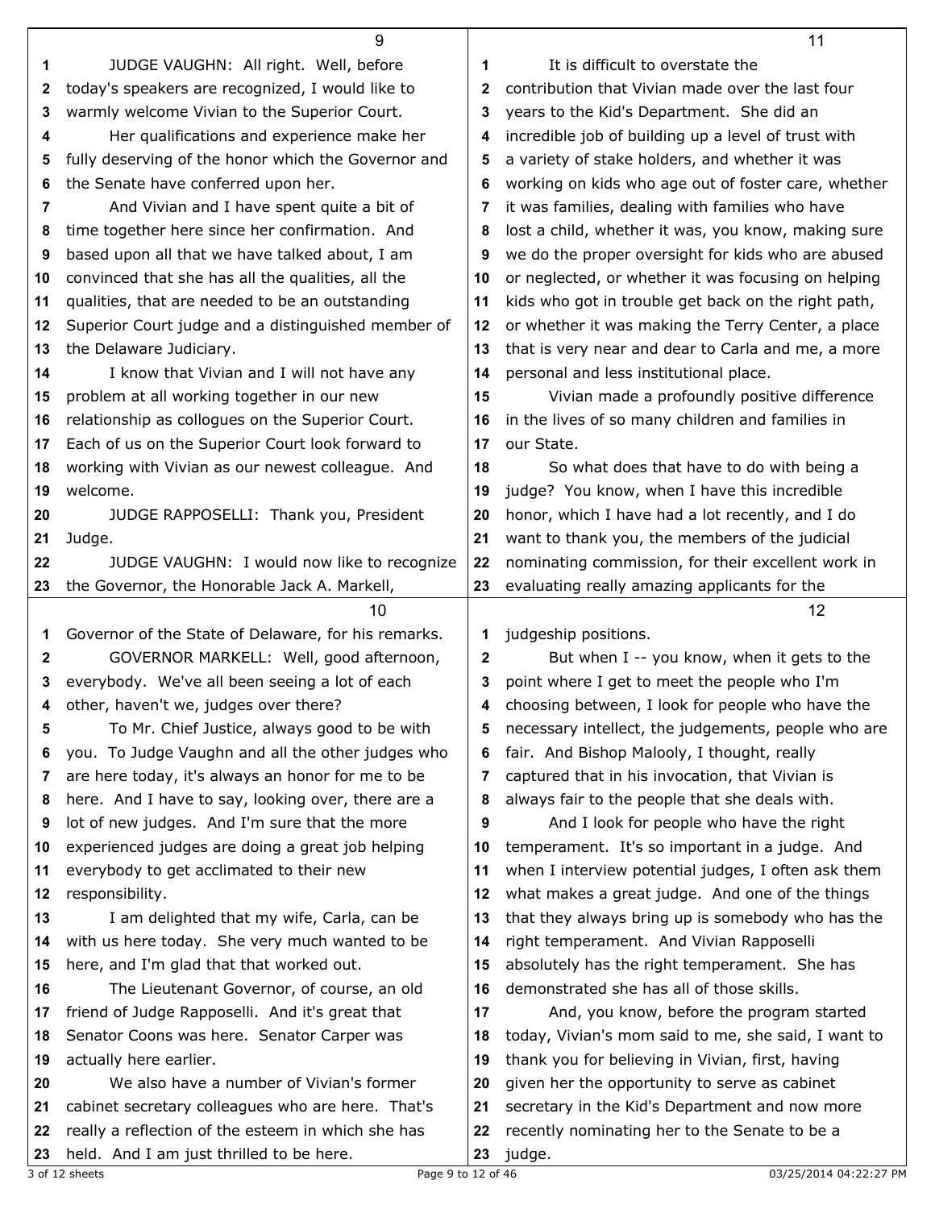|    | 9                                                   |              | 11                                                  |
|----|-----------------------------------------------------|--------------|-----------------------------------------------------|
| 1  | JUDGE VAUGHN: All right. Well, before               | 1            | It is difficult to overstate the                    |
| 2  | today's speakers are recognized, I would like to    | $\mathbf{2}$ | contribution that Vivian made over the last four    |
| 3  | warmly welcome Vivian to the Superior Court.        | 3            | years to the Kid's Department. She did an           |
| 4  | Her qualifications and experience make her          | 4            | incredible job of building up a level of trust with |
| 5  | fully deserving of the honor which the Governor and | 5            | a variety of stake holders, and whether it was      |
| 6  | the Senate have conferred upon her.                 | 6            | working on kids who age out of foster care, whether |
| 7  | And Vivian and I have spent quite a bit of          | 7            | it was families, dealing with families who have     |
|    |                                                     |              |                                                     |
| 8  | time together here since her confirmation. And      | 8            | lost a child, whether it was, you know, making sure |
| 9  | based upon all that we have talked about, I am      | 9            | we do the proper oversight for kids who are abused  |
| 10 | convinced that she has all the qualities, all the   | 10           | or neglected, or whether it was focusing on helping |
| 11 | qualities, that are needed to be an outstanding     | 11           | kids who got in trouble get back on the right path, |
| 12 | Superior Court judge and a distinguished member of  | 12           | or whether it was making the Terry Center, a place  |
| 13 | the Delaware Judiciary.                             | 13           | that is very near and dear to Carla and me, a more  |
| 14 | I know that Vivian and I will not have any          | 14           | personal and less institutional place.              |
| 15 | problem at all working together in our new          | 15           | Vivian made a profoundly positive difference        |
| 16 | relationship as collogues on the Superior Court.    | 16           | in the lives of so many children and families in    |
| 17 | Each of us on the Superior Court look forward to    | 17           | our State.                                          |
| 18 | working with Vivian as our newest colleague. And    | 18           | So what does that have to do with being a           |
| 19 | welcome.                                            | 19           | judge? You know, when I have this incredible        |
| 20 | JUDGE RAPPOSELLI: Thank you, President              | 20           | honor, which I have had a lot recently, and I do    |
|    |                                                     |              |                                                     |
| 21 | Judge.                                              | 21           | want to thank you, the members of the judicial      |
| 22 | JUDGE VAUGHN: I would now like to recognize         | 22           | nominating commission, for their excellent work in  |
|    | the Governor, the Honorable Jack A. Markell,        | 23           | evaluating really amazing applicants for the        |
| 23 |                                                     |              |                                                     |
|    | 10                                                  |              | 12                                                  |
| 1  | Governor of the State of Delaware, for his remarks. | 1            | judgeship positions.                                |
| 2  | GOVERNOR MARKELL: Well, good afternoon,             | 2            | But when I -- you know, when it gets to the         |
| 3  | everybody. We've all been seeing a lot of each      | 3            | point where I get to meet the people who I'm        |
| 4  | other, haven't we, judges over there?               | 4            | choosing between, I look for people who have the    |
| 5  | To Mr. Chief Justice, always good to be with        | 5            | necessary intellect, the judgements, people who are |
| 6  |                                                     | 6            |                                                     |
| 7  | you. To Judge Vaughn and all the other judges who   | 7            | fair. And Bishop Malooly, I thought, really         |
|    | are here today, it's always an honor for me to be   |              | captured that in his invocation, that Vivian is     |
| 8  | here. And I have to say, looking over, there are a  | 8            | always fair to the people that she deals with.      |
| 9  | lot of new judges. And I'm sure that the more       | 9            | And I look for people who have the right            |
| 10 | experienced judges are doing a great job helping    | 10           | temperament. It's so important in a judge. And      |
| 11 | everybody to get acclimated to their new            | 11           | when I interview potential judges, I often ask them |
| 12 | responsibility.                                     | 12           | what makes a great judge. And one of the things     |
| 13 | I am delighted that my wife, Carla, can be          | 13           | that they always bring up is somebody who has the   |
| 14 | with us here today. She very much wanted to be      | 14           | right temperament. And Vivian Rapposelli            |
| 15 | here, and I'm glad that that worked out.            | 15           | absolutely has the right temperament. She has       |
| 16 | The Lieutenant Governor, of course, an old          | 16           | demonstrated she has all of those skills.           |
| 17 | friend of Judge Rapposelli. And it's great that     | 17           | And, you know, before the program started           |
| 18 | Senator Coons was here. Senator Carper was          | 18           | today, Vivian's mom said to me, she said, I want to |
| 19 | actually here earlier.                              | 19           | thank you for believing in Vivian, first, having    |
| 20 | We also have a number of Vivian's former            | 20           | given her the opportunity to serve as cabinet       |
| 21 | cabinet secretary colleagues who are here. That's   | 21           | secretary in the Kid's Department and now more      |
| 22 | really a reflection of the esteem in which she has  | 22           | recently nominating her to the Senate to be a       |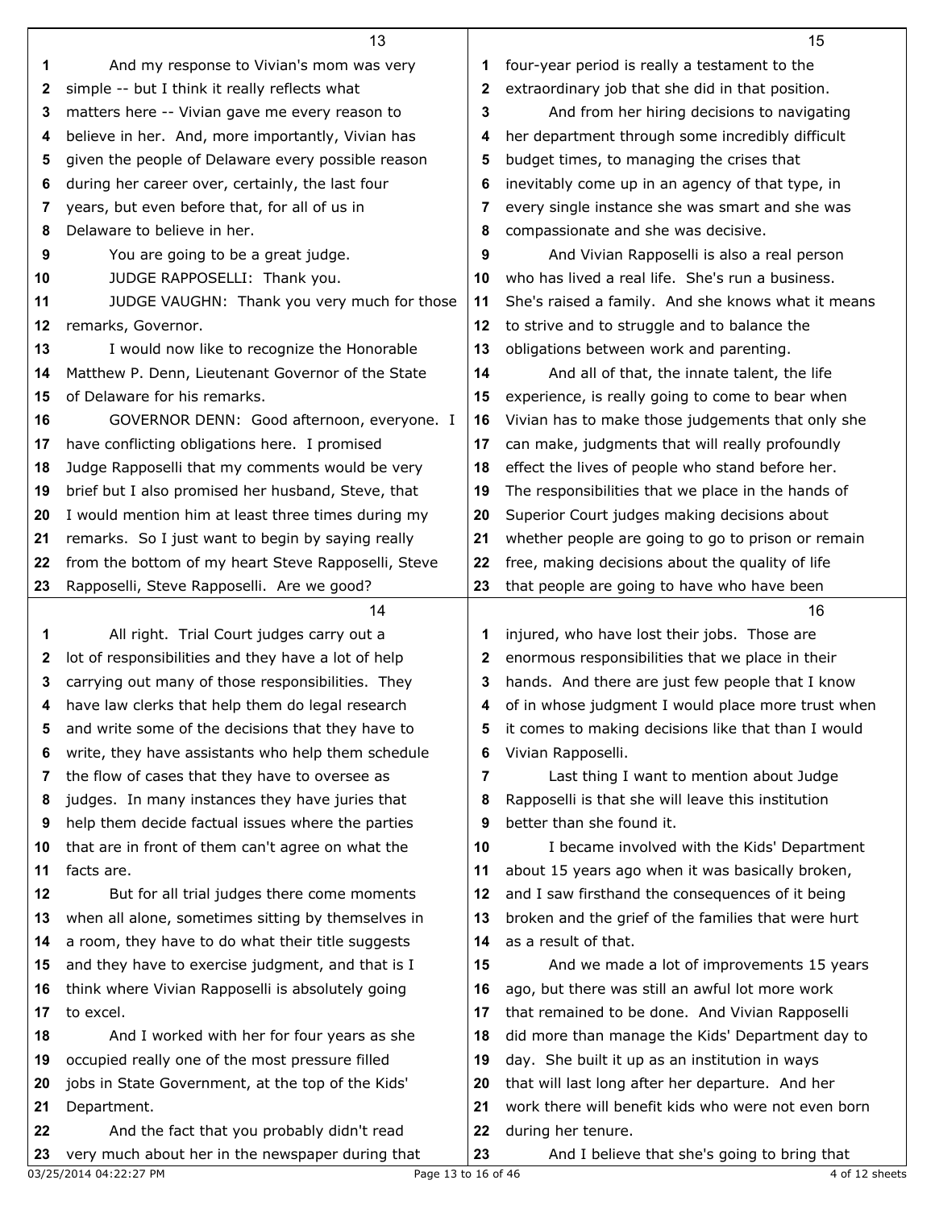|          | 13                                                                                             |              | 15                                                                 |
|----------|------------------------------------------------------------------------------------------------|--------------|--------------------------------------------------------------------|
| 1        | And my response to Vivian's mom was very                                                       | 1            | four-year period is really a testament to the                      |
| 2        | simple -- but I think it really reflects what                                                  | $\mathbf{2}$ | extraordinary job that she did in that position.                   |
| 3        | matters here -- Vivian gave me every reason to                                                 | 3            | And from her hiring decisions to navigating                        |
| 4        | believe in her. And, more importantly, Vivian has                                              | 4            | her department through some incredibly difficult                   |
| 5        | given the people of Delaware every possible reason                                             | 5            | budget times, to managing the crises that                          |
| 6        | during her career over, certainly, the last four                                               | 6            | inevitably come up in an agency of that type, in                   |
| 7        | years, but even before that, for all of us in                                                  | 7            | every single instance she was smart and she was                    |
| 8        | Delaware to believe in her.                                                                    | 8            | compassionate and she was decisive.                                |
| 9        | You are going to be a great judge.                                                             | 9            | And Vivian Rapposelli is also a real person                        |
| 10       | JUDGE RAPPOSELLI: Thank you.                                                                   | 10           | who has lived a real life. She's run a business.                   |
| 11       | JUDGE VAUGHN: Thank you very much for those                                                    | 11           | She's raised a family. And she knows what it means                 |
| 12       | remarks, Governor.                                                                             | 12           | to strive and to struggle and to balance the                       |
| 13       | I would now like to recognize the Honorable                                                    | 13           | obligations between work and parenting.                            |
| 14       | Matthew P. Denn, Lieutenant Governor of the State                                              | 14           | And all of that, the innate talent, the life                       |
| 15       | of Delaware for his remarks.                                                                   | 15           | experience, is really going to come to bear when                   |
| 16       | GOVERNOR DENN: Good afternoon, everyone. I                                                     | 16           | Vivian has to make those judgements that only she                  |
| 17       | have conflicting obligations here. I promised                                                  | 17           | can make, judgments that will really profoundly                    |
| 18       | Judge Rapposelli that my comments would be very                                                | 18           | effect the lives of people who stand before her.                   |
| 19       | brief but I also promised her husband, Steve, that                                             | 19           | The responsibilities that we place in the hands of                 |
| 20       | I would mention him at least three times during my                                             | 20           | Superior Court judges making decisions about                       |
| 21       | remarks. So I just want to begin by saying really                                              | 21           | whether people are going to go to prison or remain                 |
| 22       | from the bottom of my heart Steve Rapposelli, Steve                                            | 22           | free, making decisions about the quality of life                   |
| 23       | Rapposelli, Steve Rapposelli. Are we good?                                                     | 23           | that people are going to have who have been                        |
|          |                                                                                                |              |                                                                    |
|          | 14                                                                                             |              | 16                                                                 |
| 1        | All right. Trial Court judges carry out a                                                      | 1            | injured, who have lost their jobs. Those are                       |
| 2        | lot of responsibilities and they have a lot of help                                            | $\mathbf{2}$ | enormous responsibilities that we place in their                   |
| 3        | carrying out many of those responsibilities. They                                              | 3            | hands. And there are just few people that I know                   |
| 4        | have law clerks that help them do legal research                                               | 4            | of in whose judgment I would place more trust when                 |
| 5        | and write some of the decisions that they have to                                              | 5            | it comes to making decisions like that than I would                |
| 6        | write, they have assistants who help them schedule                                             | 6            | Vivian Rapposelli.                                                 |
| 7        | the flow of cases that they have to oversee as                                                 | 7            | Last thing I want to mention about Judge                           |
| 8        | judges. In many instances they have juries that                                                | 8            | Rapposelli is that she will leave this institution                 |
| 9        | help them decide factual issues where the parties                                              | 9            | better than she found it.                                          |
| 10       | that are in front of them can't agree on what the                                              | 10           | I became involved with the Kids' Department                        |
| 11       | facts are.                                                                                     | 11           | about 15 years ago when it was basically broken,                   |
| 12       | But for all trial judges there come moments                                                    | 12           | and I saw firsthand the consequences of it being                   |
| 13       | when all alone, sometimes sitting by themselves in                                             | 13           | broken and the grief of the families that were hurt                |
| 14       | a room, they have to do what their title suggests                                              | 14           | as a result of that.                                               |
| 15       | and they have to exercise judgment, and that is I                                              | 15           | And we made a lot of improvements 15 years                         |
| 16       | think where Vivian Rapposelli is absolutely going                                              | 16           | ago, but there was still an awful lot more work                    |
| 17       | to excel.                                                                                      | 17           | that remained to be done. And Vivian Rapposelli                    |
| 18       | And I worked with her for four years as she                                                    | 18           | did more than manage the Kids' Department day to                   |
| 19       | occupied really one of the most pressure filled                                                | 19           | day. She built it up as an institution in ways                     |
| 20       | jobs in State Government, at the top of the Kids'                                              | 20           | that will last long after her departure. And her                   |
| 21       | Department.                                                                                    | 21           | work there will benefit kids who were not even born                |
| 22<br>23 | And the fact that you probably didn't read<br>very much about her in the newspaper during that | 22<br>23     | during her tenure.<br>And I believe that she's going to bring that |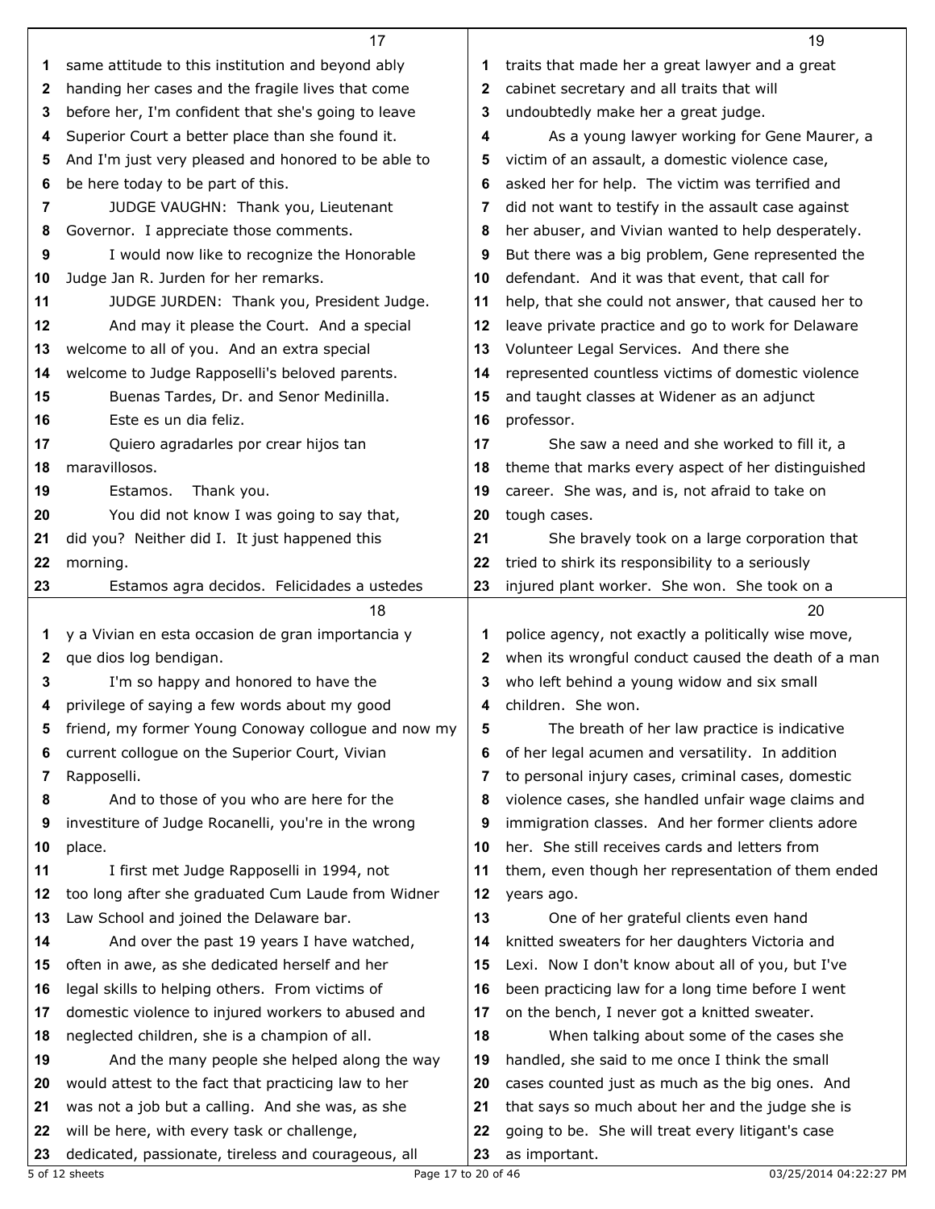|          | 17                                                                                                 |              | 19                                                                 |
|----------|----------------------------------------------------------------------------------------------------|--------------|--------------------------------------------------------------------|
| 1.       | same attitude to this institution and beyond ably                                                  | 1            | traits that made her a great lawyer and a great                    |
| 2        | handing her cases and the fragile lives that come                                                  | 2            | cabinet secretary and all traits that will                         |
| 3        | before her, I'm confident that she's going to leave                                                | 3            | undoubtedly make her a great judge.                                |
| 4        | Superior Court a better place than she found it.                                                   | 4            | As a young lawyer working for Gene Maurer, a                       |
| 5        | And I'm just very pleased and honored to be able to                                                | 5            | victim of an assault, a domestic violence case,                    |
| 6        | be here today to be part of this.                                                                  | 6            | asked her for help. The victim was terrified and                   |
| 7        | JUDGE VAUGHN: Thank you, Lieutenant                                                                | 7            | did not want to testify in the assault case against                |
| 8        | Governor. I appreciate those comments.                                                             | 8            | her abuser, and Vivian wanted to help desperately.                 |
| 9        | I would now like to recognize the Honorable                                                        | 9            | But there was a big problem, Gene represented the                  |
| 10       | Judge Jan R. Jurden for her remarks.                                                               | 10           | defendant. And it was that event, that call for                    |
| 11       | JUDGE JURDEN: Thank you, President Judge.                                                          | 11           | help, that she could not answer, that caused her to                |
| 12       |                                                                                                    | 12           |                                                                    |
|          | And may it please the Court. And a special                                                         |              | leave private practice and go to work for Delaware                 |
| 13       | welcome to all of you. And an extra special                                                        | 13           | Volunteer Legal Services. And there she                            |
| 14       | welcome to Judge Rapposelli's beloved parents.                                                     | 14           | represented countless victims of domestic violence                 |
| 15       | Buenas Tardes, Dr. and Senor Medinilla.                                                            | 15           | and taught classes at Widener as an adjunct                        |
| 16       | Este es un dia feliz.                                                                              | 16           | professor.                                                         |
| 17       | Quiero agradarles por crear hijos tan                                                              | 17           | She saw a need and she worked to fill it, a                        |
| 18       | maravillosos.                                                                                      | 18           | theme that marks every aspect of her distinguished                 |
| 19       | Estamos.<br>Thank you.                                                                             | 19           | career. She was, and is, not afraid to take on                     |
| 20       | You did not know I was going to say that,                                                          | 20           | tough cases.                                                       |
| 21       | did you? Neither did I. It just happened this                                                      | 21           | She bravely took on a large corporation that                       |
| 22       | morning.                                                                                           | 22           | tried to shirk its responsibility to a seriously                   |
| 23       | Estamos agra decidos. Felicidades a ustedes                                                        | 23           | injured plant worker. She won. She took on a                       |
|          |                                                                                                    |              |                                                                    |
|          | 18                                                                                                 |              | 20                                                                 |
| 1        | y a Vivian en esta occasion de gran importancia y                                                  |              | police agency, not exactly a politically wise move,                |
| 2        | que dios log bendigan.                                                                             | $\mathbf{2}$ | when its wrongful conduct caused the death of a man                |
| 3        | I'm so happy and honored to have the                                                               | 3            | who left behind a young widow and six small                        |
| 4        | privilege of saying a few words about my good                                                      | 4            | children. She won.                                                 |
| 5        | friend, my former Young Conoway collogue and now my                                                | 5            | The breath of her law practice is indicative                       |
| 6        | current collogue on the Superior Court, Vivian                                                     | 6            | of her legal acumen and versatility. In addition                   |
| 7        | Rapposelli.                                                                                        | 7            | to personal injury cases, criminal cases, domestic                 |
| 8        | And to those of you who are here for the                                                           | 8            | violence cases, she handled unfair wage claims and                 |
| 9        | investiture of Judge Rocanelli, you're in the wrong                                                | 9            | immigration classes. And her former clients adore                  |
| 10       | place.                                                                                             | 10           | her. She still receives cards and letters from                     |
| 11       | I first met Judge Rapposelli in 1994, not                                                          | 11           | them, even though her representation of them ended                 |
| 12       | too long after she graduated Cum Laude from Widner                                                 | 12           |                                                                    |
| 13       | Law School and joined the Delaware bar.                                                            | 13           | years ago.<br>One of her grateful clients even hand                |
|          |                                                                                                    | 14           |                                                                    |
| 14<br>15 | And over the past 19 years I have watched,                                                         | 15           | knitted sweaters for her daughters Victoria and                    |
| 16       | often in awe, as she dedicated herself and her                                                     | 16           | Lexi. Now I don't know about all of you, but I've                  |
|          | legal skills to helping others. From victims of                                                    |              | been practicing law for a long time before I went                  |
| 17       | domestic violence to injured workers to abused and                                                 | 17           | on the bench, I never got a knitted sweater.                       |
| 18       | neglected children, she is a champion of all.                                                      | 18           | When talking about some of the cases she                           |
| 19       | And the many people she helped along the way                                                       | 19           | handled, she said to me once I think the small                     |
| 20       | would attest to the fact that practicing law to her                                                | 20           | cases counted just as much as the big ones. And                    |
| 21       | was not a job but a calling. And she was, as she                                                   | 21           | that says so much about her and the judge she is                   |
| 22<br>23 | will be here, with every task or challenge,<br>dedicated, passionate, tireless and courageous, all | 22<br>23     | going to be. She will treat every litigant's case<br>as important. |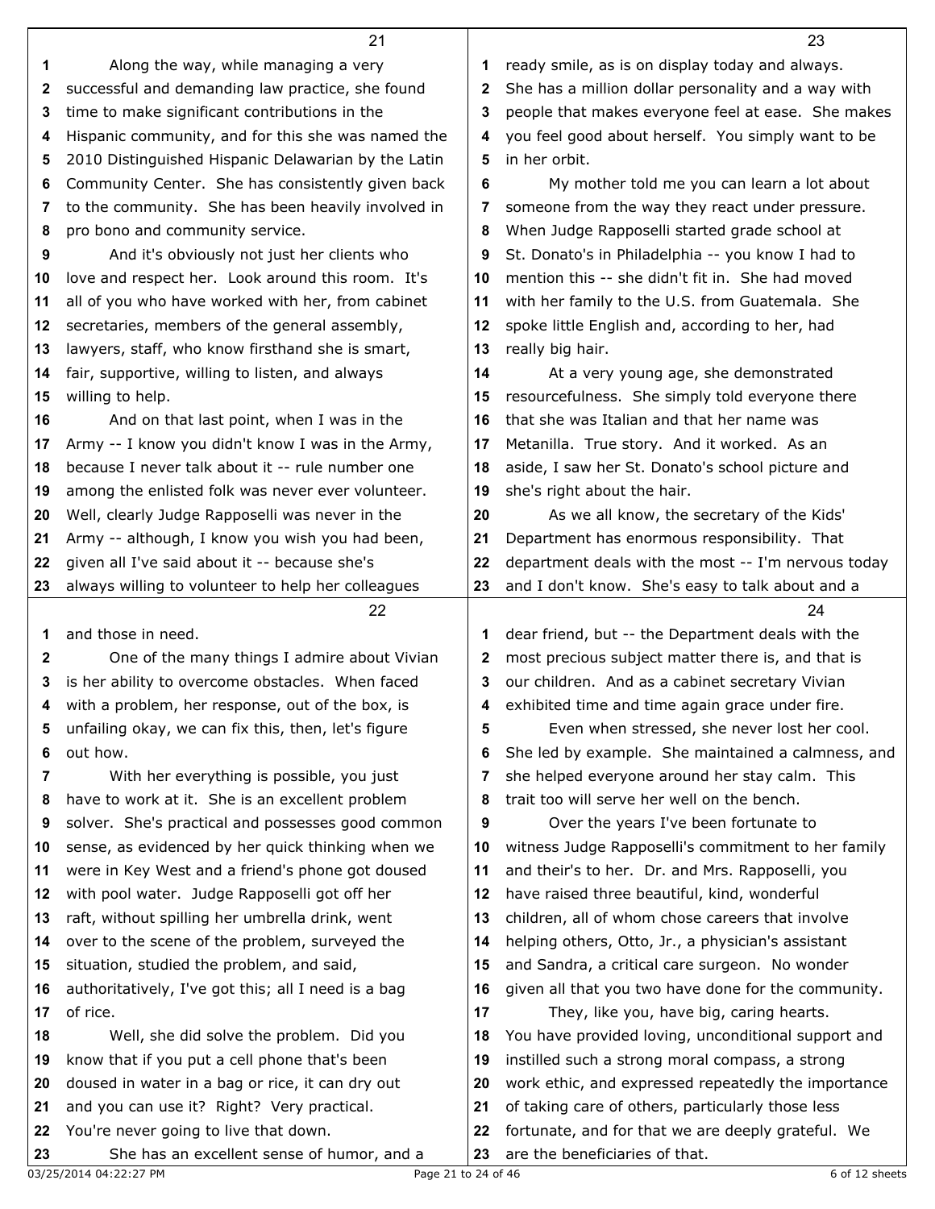|              | 21                                                                                  |          | 23                                                                                   |
|--------------|-------------------------------------------------------------------------------------|----------|--------------------------------------------------------------------------------------|
| 1            | Along the way, while managing a very                                                | 1        | ready smile, as is on display today and always.                                      |
| 2            | successful and demanding law practice, she found                                    | 2        | She has a million dollar personality and a way with                                  |
| 3            | time to make significant contributions in the                                       | 3        | people that makes everyone feel at ease. She makes                                   |
| 4            | Hispanic community, and for this she was named the                                  | 4        | you feel good about herself. You simply want to be                                   |
| 5            | 2010 Distinguished Hispanic Delawarian by the Latin                                 | 5        | in her orbit.                                                                        |
| 6            | Community Center. She has consistently given back                                   | 6        | My mother told me you can learn a lot about                                          |
| 7            | to the community. She has been heavily involved in                                  | 7        | someone from the way they react under pressure.                                      |
| 8            | pro bono and community service.                                                     | 8        | When Judge Rapposelli started grade school at                                        |
| 9            | And it's obviously not just her clients who                                         | 9        | St. Donato's in Philadelphia -- you know I had to                                    |
| 10           | love and respect her. Look around this room. It's                                   | 10       | mention this -- she didn't fit in. She had moved                                     |
| 11           | all of you who have worked with her, from cabinet                                   | 11       | with her family to the U.S. from Guatemala. She                                      |
|              | secretaries, members of the general assembly,                                       |          |                                                                                      |
| 12           |                                                                                     | 12       | spoke little English and, according to her, had                                      |
| 13           | lawyers, staff, who know firsthand she is smart,                                    | 13       | really big hair.                                                                     |
| 14           | fair, supportive, willing to listen, and always                                     | 14       | At a very young age, she demonstrated                                                |
| 15           | willing to help.                                                                    | 15       | resourcefulness. She simply told everyone there                                      |
| 16           | And on that last point, when I was in the                                           | 16       | that she was Italian and that her name was                                           |
| 17           | Army -- I know you didn't know I was in the Army,                                   | 17       | Metanilla. True story. And it worked. As an                                          |
| 18           | because I never talk about it -- rule number one                                    | 18       | aside, I saw her St. Donato's school picture and                                     |
| 19           | among the enlisted folk was never ever volunteer.                                   | 19       | she's right about the hair.                                                          |
| 20           | Well, clearly Judge Rapposelli was never in the                                     | 20       | As we all know, the secretary of the Kids'                                           |
| 21           | Army -- although, I know you wish you had been,                                     | 21       | Department has enormous responsibility. That                                         |
| 22           | given all I've said about it -- because she's                                       | 22       | department deals with the most -- I'm nervous today                                  |
| 23           | always willing to volunteer to help her colleagues                                  | 23       | and I don't know. She's easy to talk about and a                                     |
|              | 22                                                                                  |          | 24                                                                                   |
| 1            | and those in need.                                                                  | 1        | dear friend, but -- the Department deals with the                                    |
| $\mathbf{2}$ | One of the many things I admire about Vivian                                        | 2        | most precious subject matter there is, and that is                                   |
| 3            | is her ability to overcome obstacles. When faced                                    | 3        | our children. And as a cabinet secretary Vivian                                      |
| 4            | with a problem, her response, out of the box, is                                    | 4        | exhibited time and time again grace under fire.                                      |
| 5            | unfailing okay, we can fix this, then, let's figure                                 | 5        | Even when stressed, she never lost her cool.                                         |
| 6            | out how.                                                                            | 6        | She led by example. She maintained a calmness, and                                   |
| 7            | With her everything is possible, you just                                           | 7        | she helped everyone around her stay calm. This                                       |
| 8            | have to work at it. She is an excellent problem                                     | 8        | trait too will serve her well on the bench.                                          |
| 9            | solver. She's practical and possesses good common                                   | 9        | Over the years I've been fortunate to                                                |
| 10           | sense, as evidenced by her quick thinking when we                                   | 10       | witness Judge Rapposelli's commitment to her family                                  |
| 11           | were in Key West and a friend's phone got doused                                    | 11       | and their's to her. Dr. and Mrs. Rapposelli, you                                     |
| 12           | with pool water. Judge Rapposelli got off her                                       | 12       | have raised three beautiful, kind, wonderful                                         |
| 13           | raft, without spilling her umbrella drink, went                                     | 13       | children, all of whom chose careers that involve                                     |
| 14           | over to the scene of the problem, surveyed the                                      | 14       | helping others, Otto, Jr., a physician's assistant                                   |
| 15           | situation, studied the problem, and said,                                           | 15       | and Sandra, a critical care surgeon. No wonder                                       |
| 16           | authoritatively, I've got this; all I need is a bag                                 | 16       | given all that you two have done for the community.                                  |
| 17           | of rice.                                                                            | 17       | They, like you, have big, caring hearts.                                             |
| 18           | Well, she did solve the problem. Did you                                            | 18       | You have provided loving, unconditional support and                                  |
|              | know that if you put a cell phone that's been                                       |          | instilled such a strong moral compass, a strong                                      |
| 19<br>20     | doused in water in a bag or rice, it can dry out                                    | 19<br>20 | work ethic, and expressed repeatedly the importance                                  |
|              |                                                                                     |          |                                                                                      |
| 21           | and you can use it? Right? Very practical.                                          | 21       | of taking care of others, particularly those less                                    |
| 22<br>23     | You're never going to live that down.<br>She has an excellent sense of humor, and a | 22<br>23 | fortunate, and for that we are deeply grateful. We<br>are the beneficiaries of that. |
|              |                                                                                     |          |                                                                                      |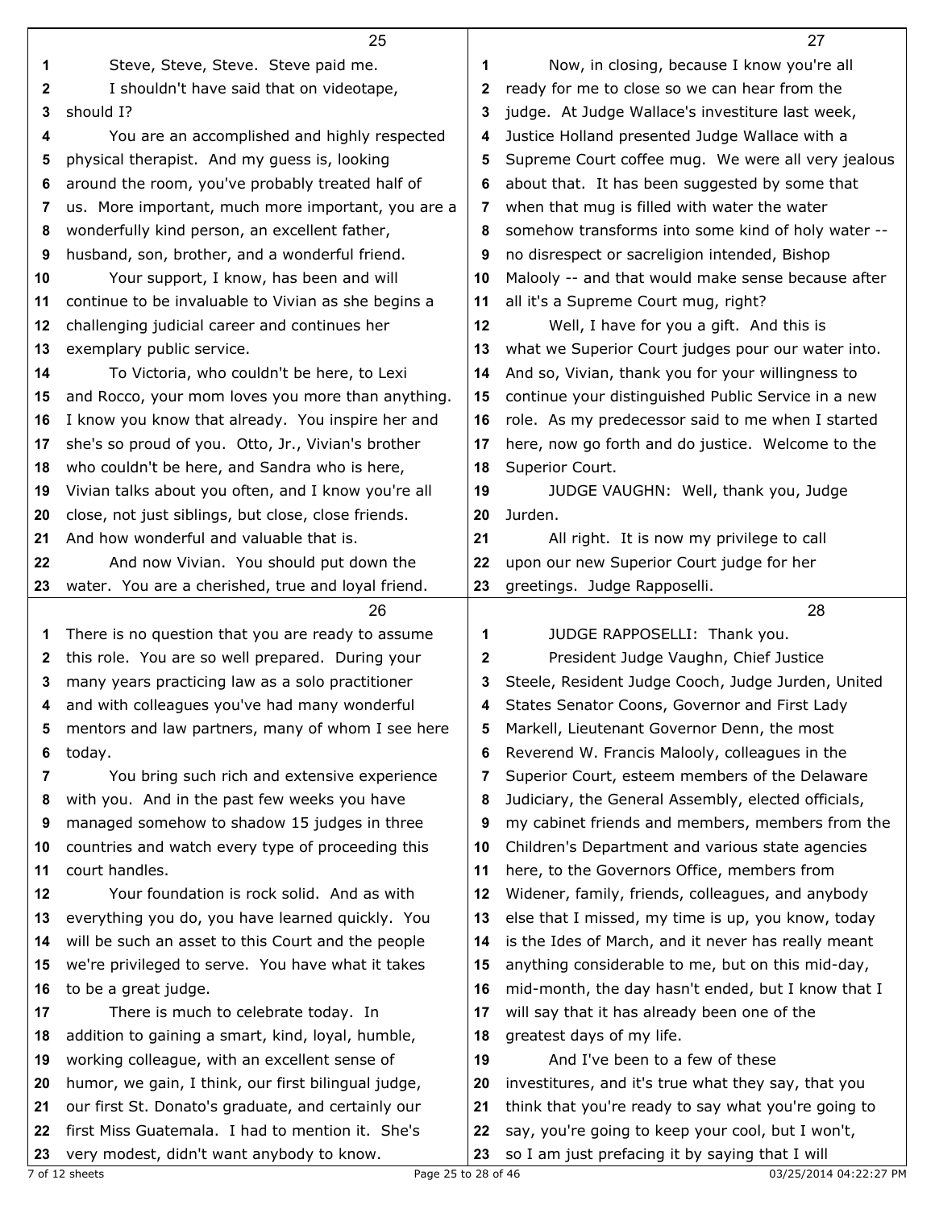|              | 25                                                  |    | 27                                                  |
|--------------|-----------------------------------------------------|----|-----------------------------------------------------|
| 1            | Steve, Steve, Steve. Steve paid me.                 | 1  | Now, in closing, because I know you're all          |
| $\mathbf{2}$ | I shouldn't have said that on videotape,            | 2  | ready for me to close so we can hear from the       |
| 3            | should I?                                           | 3  | judge. At Judge Wallace's investiture last week,    |
| 4            | You are an accomplished and highly respected        | 4  | Justice Holland presented Judge Wallace with a      |
| 5            | physical therapist. And my guess is, looking        | 5  | Supreme Court coffee mug. We were all very jealous  |
| 6            | around the room, you've probably treated half of    | 6  | about that. It has been suggested by some that      |
| 7            | us. More important, much more important, you are a  | 7  | when that mug is filled with water the water        |
| 8            | wonderfully kind person, an excellent father,       | 8  | somehow transforms into some kind of holy water --  |
| 9            | husband, son, brother, and a wonderful friend.      | 9  | no disrespect or sacreligion intended, Bishop       |
| 10           | Your support, I know, has been and will             | 10 | Malooly -- and that would make sense because after  |
| 11           | continue to be invaluable to Vivian as she begins a | 11 | all it's a Supreme Court mug, right?                |
| 12           | challenging judicial career and continues her       | 12 | Well, I have for you a gift. And this is            |
| 13           | exemplary public service.                           | 13 | what we Superior Court judges pour our water into.  |
| 14           | To Victoria, who couldn't be here, to Lexi          | 14 | And so, Vivian, thank you for your willingness to   |
| 15           | and Rocco, your mom loves you more than anything.   | 15 | continue your distinguished Public Service in a new |
| 16           | I know you know that already. You inspire her and   | 16 | role. As my predecessor said to me when I started   |
| 17           | she's so proud of you. Otto, Jr., Vivian's brother  | 17 | here, now go forth and do justice. Welcome to the   |
| 18           | who couldn't be here, and Sandra who is here,       | 18 | Superior Court.                                     |
| 19           | Vivian talks about you often, and I know you're all | 19 | JUDGE VAUGHN: Well, thank you, Judge                |
| 20           | close, not just siblings, but close, close friends. | 20 | Jurden.                                             |
| 21           | And how wonderful and valuable that is.             | 21 | All right. It is now my privilege to call           |
| 22           | And now Vivian. You should put down the             | 22 | upon our new Superior Court judge for her           |
| 23           | water. You are a cherished, true and loyal friend.  | 23 | greetings. Judge Rapposelli.                        |
|              | 26                                                  |    | 28                                                  |
| 1            | There is no question that you are ready to assume   | 1  | JUDGE RAPPOSELLI: Thank you.                        |
| $\mathbf{2}$ | this role. You are so well prepared. During your    | 2  | President Judge Vaughn, Chief Justice               |
| 3            | many years practicing law as a solo practitioner    | 3  | Steele, Resident Judge Cooch, Judge Jurden, United  |
| 4            | and with colleagues you've had many wonderful       | 4  | States Senator Coons, Governor and First Lady       |
| 5            | mentors and law partners, many of whom I see here   | 5  | Markell, Lieutenant Governor Denn, the most         |
| 6            | today.                                              | 6  | Reverend W. Francis Malooly, colleagues in the      |
| 7            | You bring such rich and extensive experience        | 7  | Superior Court, esteem members of the Delaware      |
| 8            | with you. And in the past few weeks you have        | 8  | Judiciary, the General Assembly, elected officials, |
| 9            | managed somehow to shadow 15 judges in three        | 9  | my cabinet friends and members, members from the    |
| 10           | countries and watch every type of proceeding this   | 10 | Children's Department and various state agencies    |
| 11           | court handles.                                      | 11 | here, to the Governors Office, members from         |
| 12           | Your foundation is rock solid. And as with          | 12 | Widener, family, friends, colleagues, and anybody   |
| 13           | everything you do, you have learned quickly. You    | 13 | else that I missed, my time is up, you know, today  |
| 14           | will be such an asset to this Court and the people  | 14 | is the Ides of March, and it never has really meant |
| 15           | we're privileged to serve. You have what it takes   | 15 | anything considerable to me, but on this mid-day,   |
| 16           | to be a great judge.                                | 16 | mid-month, the day hasn't ended, but I know that I  |
| 17           | There is much to celebrate today. In                | 17 | will say that it has already been one of the        |
| 18           | addition to gaining a smart, kind, loyal, humble,   | 18 | greatest days of my life.                           |
| 19           | working colleague, with an excellent sense of       | 19 | And I've been to a few of these                     |
| 20           | humor, we gain, I think, our first bilingual judge, | 20 | investitures, and it's true what they say, that you |
| 21           | our first St. Donato's graduate, and certainly our  | 21 | think that you're ready to say what you're going to |
| 22           | first Miss Guatemala. I had to mention it. She's    | 22 | say, you're going to keep your cool, but I won't,   |
| 23           | very modest, didn't want anybody to know.           | 23 | so I am just prefacing it by saying that I will     |
|              |                                                     |    |                                                     |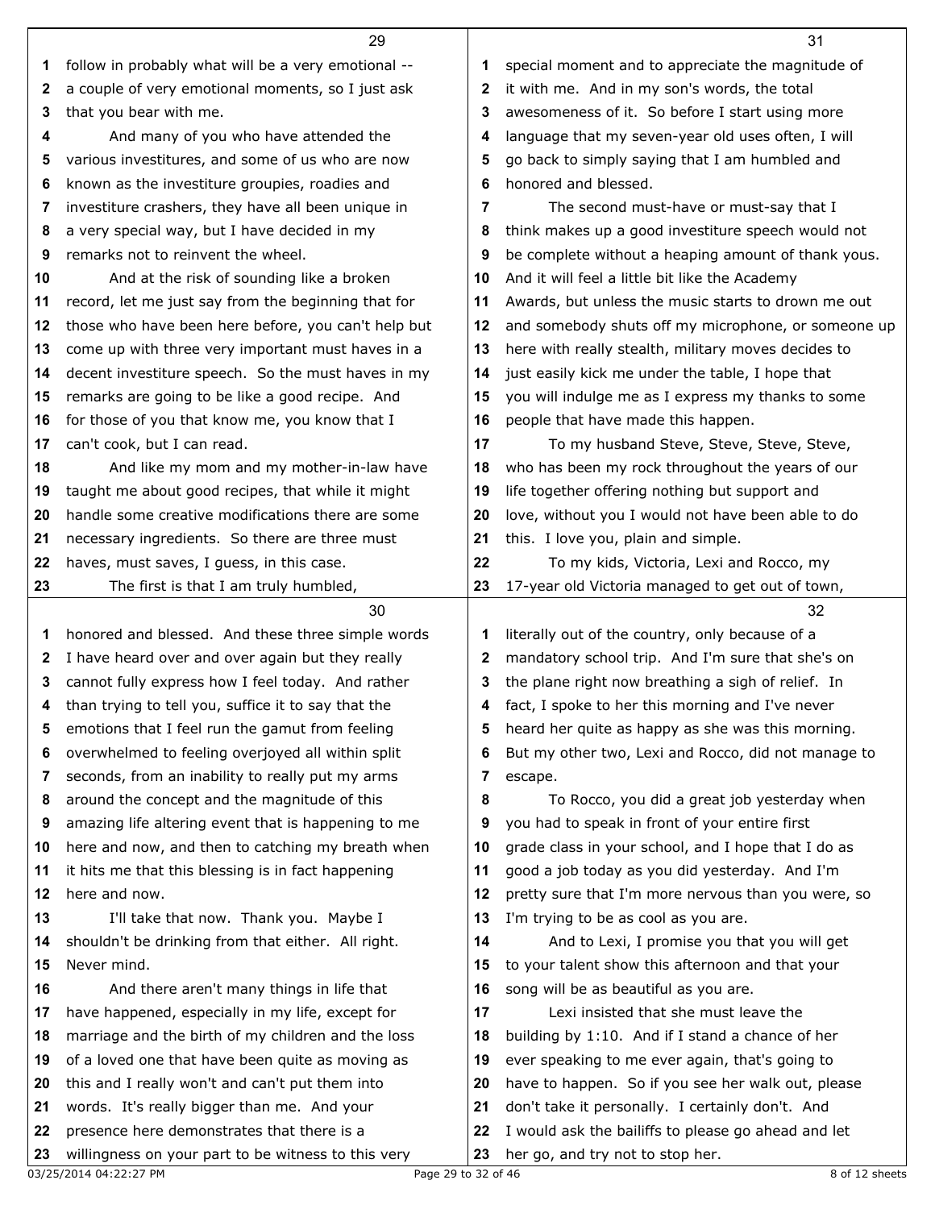|    | 29                                                    |              | 31                                                  |
|----|-------------------------------------------------------|--------------|-----------------------------------------------------|
| 1  | follow in probably what will be a very emotional --   | 1            | special moment and to appreciate the magnitude of   |
| 2  | a couple of very emotional moments, so I just ask     | 2            | it with me. And in my son's words, the total        |
| 3  | that you bear with me.                                | 3            | awesomeness of it. So before I start using more     |
| 4  | And many of you who have attended the                 | 4            | language that my seven-year old uses often, I will  |
| 5  | various investitures, and some of us who are now      | 5            | go back to simply saying that I am humbled and      |
| 6  | known as the investiture groupies, roadies and        | 6            | honored and blessed.                                |
| 7  | investiture crashers, they have all been unique in    | 7            | The second must-have or must-say that I             |
| 8  | a very special way, but I have decided in my          | 8            | think makes up a good investiture speech would not  |
| 9  | remarks not to reinvent the wheel.                    | 9            | be complete without a heaping amount of thank yous. |
| 10 | And at the risk of sounding like a broken             | 10           | And it will feel a little bit like the Academy      |
| 11 | record, let me just say from the beginning that for   | 11           | Awards, but unless the music starts to drown me out |
| 12 | those who have been here before, you can't help but   | 12           | and somebody shuts off my microphone, or someone up |
|    |                                                       | 13           | here with really stealth, military moves decides to |
| 13 | come up with three very important must haves in a     |              |                                                     |
| 14 | decent investiture speech. So the must haves in my    | 14           | just easily kick me under the table, I hope that    |
| 15 | remarks are going to be like a good recipe. And       | 15           | you will indulge me as I express my thanks to some  |
| 16 | for those of you that know me, you know that I        | 16           | people that have made this happen.                  |
| 17 | can't cook, but I can read.                           | 17           | To my husband Steve, Steve, Steve, Steve,           |
| 18 | And like my mom and my mother-in-law have             | 18           | who has been my rock throughout the years of our    |
| 19 | taught me about good recipes, that while it might     | 19           | life together offering nothing but support and      |
| 20 | handle some creative modifications there are some     | 20           | love, without you I would not have been able to do  |
| 21 | necessary ingredients. So there are three must        | 21           | this. I love you, plain and simple.                 |
| 22 | haves, must saves, I guess, in this case.             | 22           | To my kids, Victoria, Lexi and Rocco, my            |
| 23 | The first is that I am truly humbled,                 | 23           | 17-year old Victoria managed to get out of town,    |
|    | 30                                                    |              | 32                                                  |
| 1  | honored and blessed. And these three simple words     | 1            | literally out of the country, only because of a     |
| 2  | I have heard over and over again but they really      | $\mathbf{2}$ | mandatory school trip. And I'm sure that she's on   |
| 3  | cannot fully express how I feel today. And rather     | 3            | the plane right now breathing a sigh of relief. In  |
|    | 4 than trying to tell you, suffice it to say that the |              | 4 fact, I spoke to her this morning and I've never  |
| 5  | emotions that I feel run the gamut from feeling       | 5            | heard her quite as happy as she was this morning.   |
| 6  | overwhelmed to feeling overjoyed all within split     | 6            | But my other two, Lexi and Rocco, did not manage to |
| 7  | seconds, from an inability to really put my arms      | 7            | escape.                                             |
| 8  | around the concept and the magnitude of this          | 8            | To Rocco, you did a great job yesterday when        |
| 9  | amazing life altering event that is happening to me   | 9            | you had to speak in front of your entire first      |
| 10 | here and now, and then to catching my breath when     | 10           | grade class in your school, and I hope that I do as |
| 11 | it hits me that this blessing is in fact happening    | 11           | good a job today as you did yesterday. And I'm      |
| 12 | here and now.                                         | 12           | pretty sure that I'm more nervous than you were, so |
| 13 | I'll take that now. Thank you. Maybe I                | 13           | I'm trying to be as cool as you are.                |
| 14 | shouldn't be drinking from that either. All right.    | 14           | And to Lexi, I promise you that you will get        |
| 15 | Never mind.                                           | 15           | to your talent show this afternoon and that your    |
| 16 | And there aren't many things in life that             | 16           | song will be as beautiful as you are.               |
| 17 | have happened, especially in my life, except for      | 17           | Lexi insisted that she must leave the               |
| 18 | marriage and the birth of my children and the loss    | 18           | building by 1:10. And if I stand a chance of her    |
| 19 | of a loved one that have been quite as moving as      | 19           | ever speaking to me ever again, that's going to     |
| 20 | this and I really won't and can't put them into       | 20           | have to happen. So if you see her walk out, please  |
| 21 | words. It's really bigger than me. And your           | 21           | don't take it personally. I certainly don't. And    |
| 22 | presence here demonstrates that there is a            | 22           | I would ask the bailiffs to please go ahead and let |
| 23 | willingness on your part to be witness to this very   | 23           | her go, and try not to stop her.                    |
|    |                                                       |              |                                                     |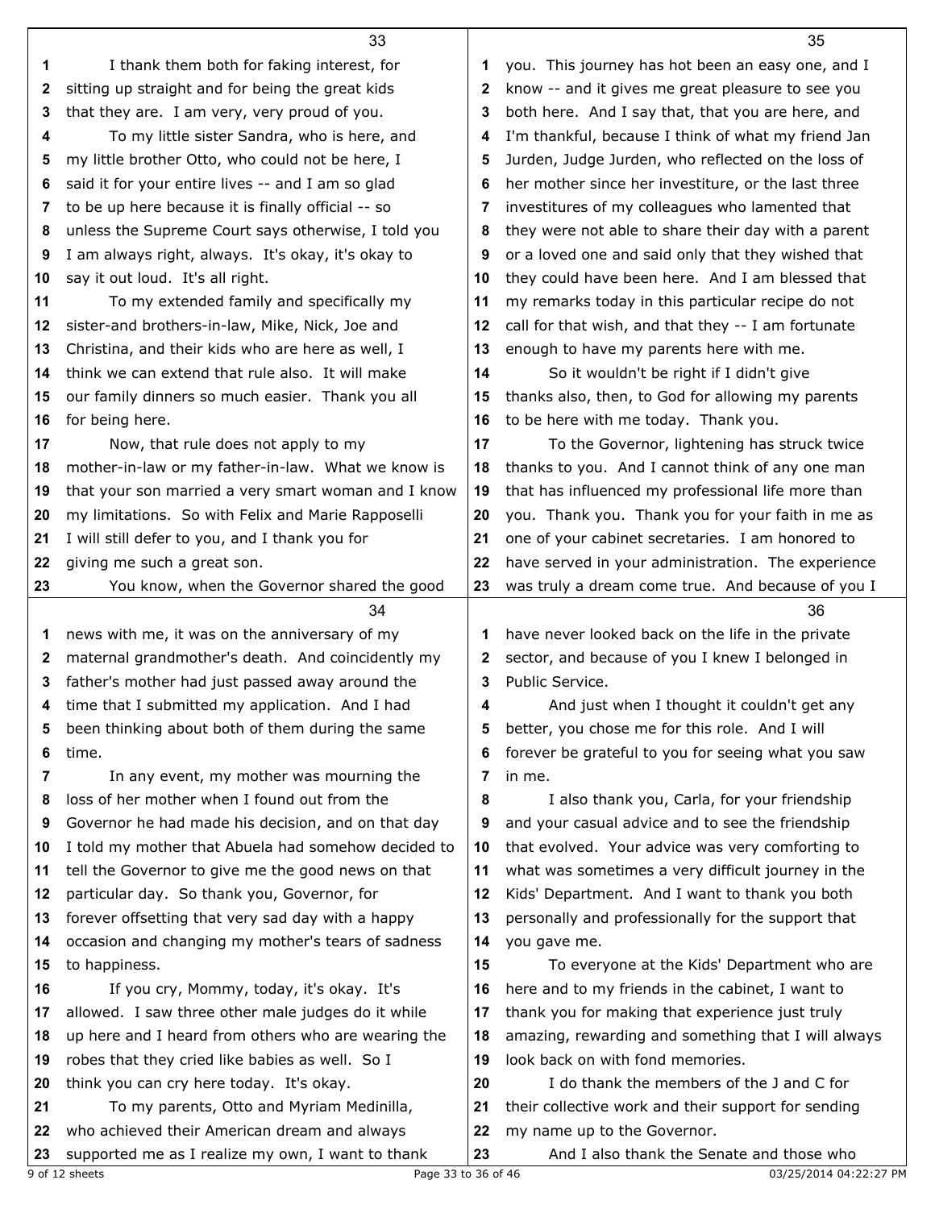|    | 33                                                  |    | 35                                                  |
|----|-----------------------------------------------------|----|-----------------------------------------------------|
| 1  | I thank them both for faking interest, for          | 1  | you. This journey has hot been an easy one, and I   |
| 2  | sitting up straight and for being the great kids    | 2  | know -- and it gives me great pleasure to see you   |
|    |                                                     |    |                                                     |
| 3  | that they are. I am very, very proud of you.        | 3  | both here. And I say that, that you are here, and   |
| 4  | To my little sister Sandra, who is here, and        | 4  | I'm thankful, because I think of what my friend Jan |
| 5  | my little brother Otto, who could not be here, I    | 5  | Jurden, Judge Jurden, who reflected on the loss of  |
| 6  | said it for your entire lives -- and I am so glad   | 6  | her mother since her investiture, or the last three |
| 7  | to be up here because it is finally official -- so  | 7  | investitures of my colleagues who lamented that     |
| 8  | unless the Supreme Court says otherwise, I told you | 8  | they were not able to share their day with a parent |
| 9  | I am always right, always. It's okay, it's okay to  | 9  | or a loved one and said only that they wished that  |
| 10 | say it out loud. It's all right.                    | 10 | they could have been here. And I am blessed that    |
| 11 | To my extended family and specifically my           | 11 | my remarks today in this particular recipe do not   |
| 12 | sister-and brothers-in-law, Mike, Nick, Joe and     | 12 | call for that wish, and that they -- I am fortunate |
| 13 | Christina, and their kids who are here as well, I   | 13 | enough to have my parents here with me.             |
| 14 | think we can extend that rule also. It will make    | 14 | So it wouldn't be right if I didn't give            |
| 15 | our family dinners so much easier. Thank you all    | 15 | thanks also, then, to God for allowing my parents   |
| 16 | for being here.                                     | 16 | to be here with me today. Thank you.                |
| 17 | Now, that rule does not apply to my                 | 17 | To the Governor, lightening has struck twice        |
| 18 | mother-in-law or my father-in-law. What we know is  | 18 | thanks to you. And I cannot think of any one man    |
| 19 | that your son married a very smart woman and I know | 19 | that has influenced my professional life more than  |
| 20 | my limitations. So with Felix and Marie Rapposelli  | 20 | you. Thank you. Thank you for your faith in me as   |
| 21 | I will still defer to you, and I thank you for      | 21 | one of your cabinet secretaries. I am honored to    |
| 22 | giving me such a great son.                         | 22 | have served in your administration. The experience  |
| 23 | You know, when the Governor shared the good         | 23 | was truly a dream come true. And because of you I   |
|    |                                                     |    |                                                     |
|    |                                                     |    |                                                     |
|    | 34                                                  |    | 36                                                  |
| 1  | news with me, it was on the anniversary of my       | 1  | have never looked back on the life in the private   |
| 2  | maternal grandmother's death. And coincidently my   | 2  | sector, and because of you I knew I belonged in     |
| 3  | father's mother had just passed away around the     | 3  | Public Service.                                     |
| 4  | time that I submitted my application. And I had     | 4  | And just when I thought it couldn't get any         |
| 5  | been thinking about both of them during the same    | 5  | better, you chose me for this role. And I will      |
| 6  | time.                                               | 6  | forever be grateful to you for seeing what you saw  |
| 7  | In any event, my mother was mourning the            | 7  | in me.                                              |
| 8  | loss of her mother when I found out from the        | 8  | I also thank you, Carla, for your friendship        |
| 9  | Governor he had made his decision, and on that day  | 9  | and your casual advice and to see the friendship    |
| 10 | I told my mother that Abuela had somehow decided to | 10 | that evolved. Your advice was very comforting to    |
| 11 | tell the Governor to give me the good news on that  | 11 | what was sometimes a very difficult journey in the  |
| 12 | particular day. So thank you, Governor, for         | 12 | Kids' Department. And I want to thank you both      |
| 13 | forever offsetting that very sad day with a happy   | 13 | personally and professionally for the support that  |
| 14 | occasion and changing my mother's tears of sadness  | 14 | you gave me.                                        |
| 15 | to happiness.                                       | 15 | To everyone at the Kids' Department who are         |
| 16 | If you cry, Mommy, today, it's okay. It's           | 16 | here and to my friends in the cabinet, I want to    |
| 17 | allowed. I saw three other male judges do it while  | 17 | thank you for making that experience just truly     |
| 18 | up here and I heard from others who are wearing the | 18 | amazing, rewarding and something that I will always |
| 19 | robes that they cried like babies as well. So I     | 19 | look back on with fond memories.                    |
| 20 | think you can cry here today. It's okay.            | 20 | I do thank the members of the J and C for           |
| 21 | To my parents, Otto and Myriam Medinilla,           | 21 | their collective work and their support for sending |
| 22 | who achieved their American dream and always        | 22 | my name up to the Governor.                         |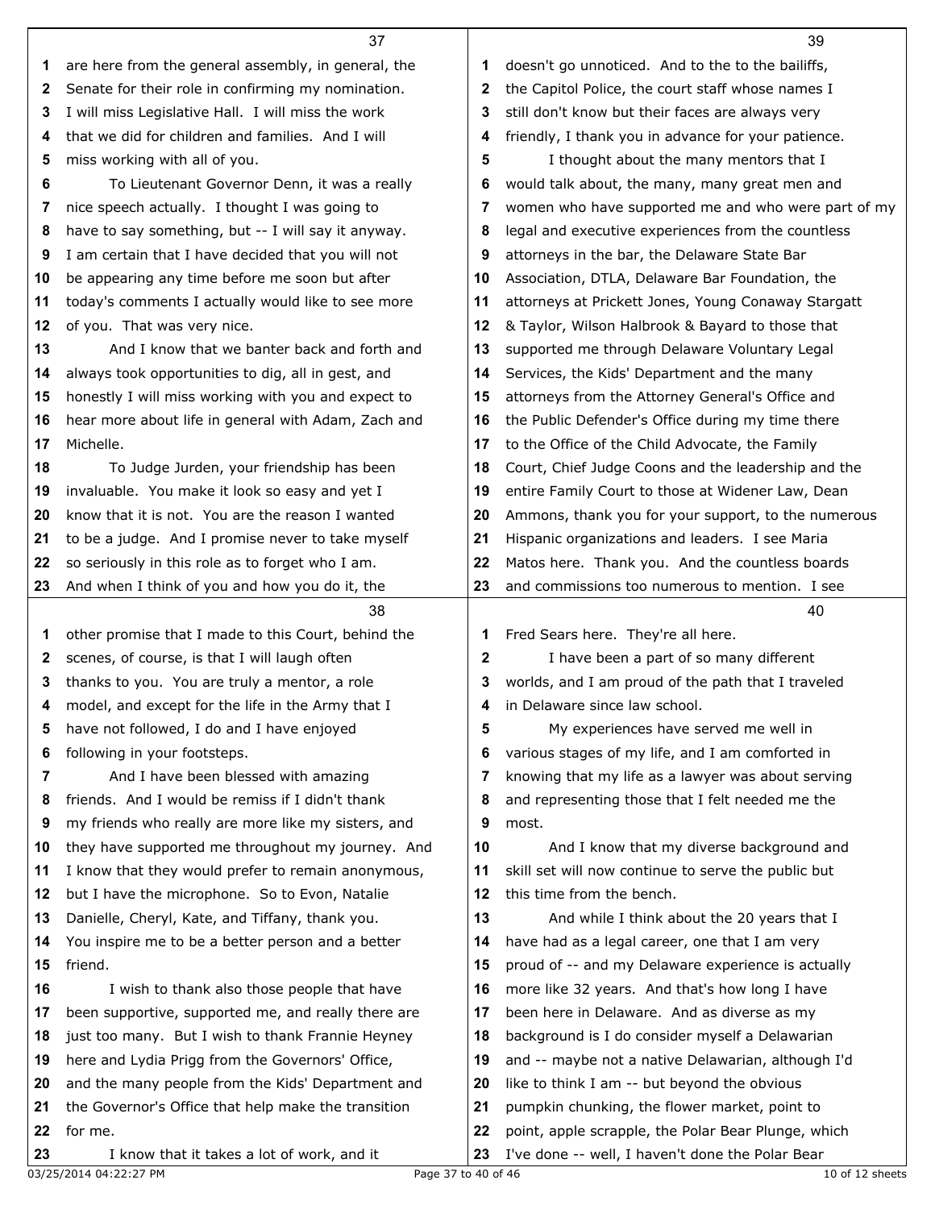|    | 37                                                  |    | 39                                                  |
|----|-----------------------------------------------------|----|-----------------------------------------------------|
| 1  | are here from the general assembly, in general, the | 1  | doesn't go unnoticed. And to the to the bailiffs,   |
| 2  | Senate for their role in confirming my nomination.  | 2  | the Capitol Police, the court staff whose names I   |
| 3  | I will miss Legislative Hall. I will miss the work  | 3  | still don't know but their faces are always very    |
| 4  | that we did for children and families. And I will   | 4  | friendly, I thank you in advance for your patience. |
| 5  | miss working with all of you.                       | 5  | I thought about the many mentors that I             |
| 6  | To Lieutenant Governor Denn, it was a really        | 6  | would talk about, the many, many great men and      |
| 7  | nice speech actually. I thought I was going to      | 7  | women who have supported me and who were part of my |
| 8  | have to say something, but -- I will say it anyway. | 8  | legal and executive experiences from the countless  |
| 9  | I am certain that I have decided that you will not  | 9  | attorneys in the bar, the Delaware State Bar        |
| 10 | be appearing any time before me soon but after      | 10 | Association, DTLA, Delaware Bar Foundation, the     |
| 11 | today's comments I actually would like to see more  | 11 | attorneys at Prickett Jones, Young Conaway Stargatt |
| 12 | of you. That was very nice.                         | 12 | & Taylor, Wilson Halbrook & Bayard to those that    |
| 13 | And I know that we banter back and forth and        | 13 | supported me through Delaware Voluntary Legal       |
| 14 | always took opportunities to dig, all in gest, and  | 14 | Services, the Kids' Department and the many         |
| 15 | honestly I will miss working with you and expect to | 15 | attorneys from the Attorney General's Office and    |
| 16 | hear more about life in general with Adam, Zach and | 16 | the Public Defender's Office during my time there   |
| 17 | Michelle.                                           | 17 | to the Office of the Child Advocate, the Family     |
| 18 | To Judge Jurden, your friendship has been           | 18 | Court, Chief Judge Coons and the leadership and the |
| 19 | invaluable. You make it look so easy and yet I      | 19 | entire Family Court to those at Widener Law, Dean   |
| 20 | know that it is not. You are the reason I wanted    | 20 | Ammons, thank you for your support, to the numerous |
| 21 | to be a judge. And I promise never to take myself   | 21 | Hispanic organizations and leaders. I see Maria     |
| 22 | so seriously in this role as to forget who I am.    | 22 | Matos here. Thank you. And the countless boards     |
| 23 | And when I think of you and how you do it, the      | 23 | and commissions too numerous to mention. I see      |
|    | 38                                                  |    | 40                                                  |
| 1  | other promise that I made to this Court, behind the | 1  | Fred Sears here. They're all here.                  |
| 2  | scenes, of course, is that I will laugh often       | 2  | I have been a part of so many different             |
| 3  | thanks to you. You are truly a mentor, a role       | 3  | worlds, and I am proud of the path that I traveled  |
| 4  | model, and except for the life in the Army that I   | 4  | in Delaware since law school.                       |
| 5  | have not followed, I do and I have enjoyed          | 5  | My experiences have served me well in               |
| 6  | following in your footsteps.                        | 6  | various stages of my life, and I am comforted in    |
| 7  | And I have been blessed with amazing                | 7  | knowing that my life as a lawyer was about serving  |
| 8  | friends. And I would be remiss if I didn't thank    | 8  | and representing those that I felt needed me the    |
| 9  | my friends who really are more like my sisters, and | 9  | most.                                               |
| 10 | they have supported me throughout my journey. And   | 10 | And I know that my diverse background and           |
| 11 | I know that they would prefer to remain anonymous,  | 11 | skill set will now continue to serve the public but |
| 12 | but I have the microphone. So to Evon, Natalie      | 12 | this time from the bench.                           |
| 13 | Danielle, Cheryl, Kate, and Tiffany, thank you.     | 13 | And while I think about the 20 years that I         |
| 14 | You inspire me to be a better person and a better   | 14 | have had as a legal career, one that I am very      |
| 15 | friend.                                             | 15 | proud of -- and my Delaware experience is actually  |
| 16 | I wish to thank also those people that have         | 16 | more like 32 years. And that's how long I have      |
| 17 | been supportive, supported me, and really there are | 17 | been here in Delaware. And as diverse as my         |
| 18 | just too many. But I wish to thank Frannie Heyney   | 18 | background is I do consider myself a Delawarian     |
| 19 | here and Lydia Prigg from the Governors' Office,    | 19 | and -- maybe not a native Delawarian, although I'd  |
| 20 | and the many people from the Kids' Department and   | 20 | like to think I am -- but beyond the obvious        |
| 21 | the Governor's Office that help make the transition | 21 | pumpkin chunking, the flower market, point to       |
| 22 | for me.                                             | 22 | point, apple scrapple, the Polar Bear Plunge, which |
| 23 | I know that it takes a lot of work, and it          | 23 | I've done -- well, I haven't done the Polar Bear    |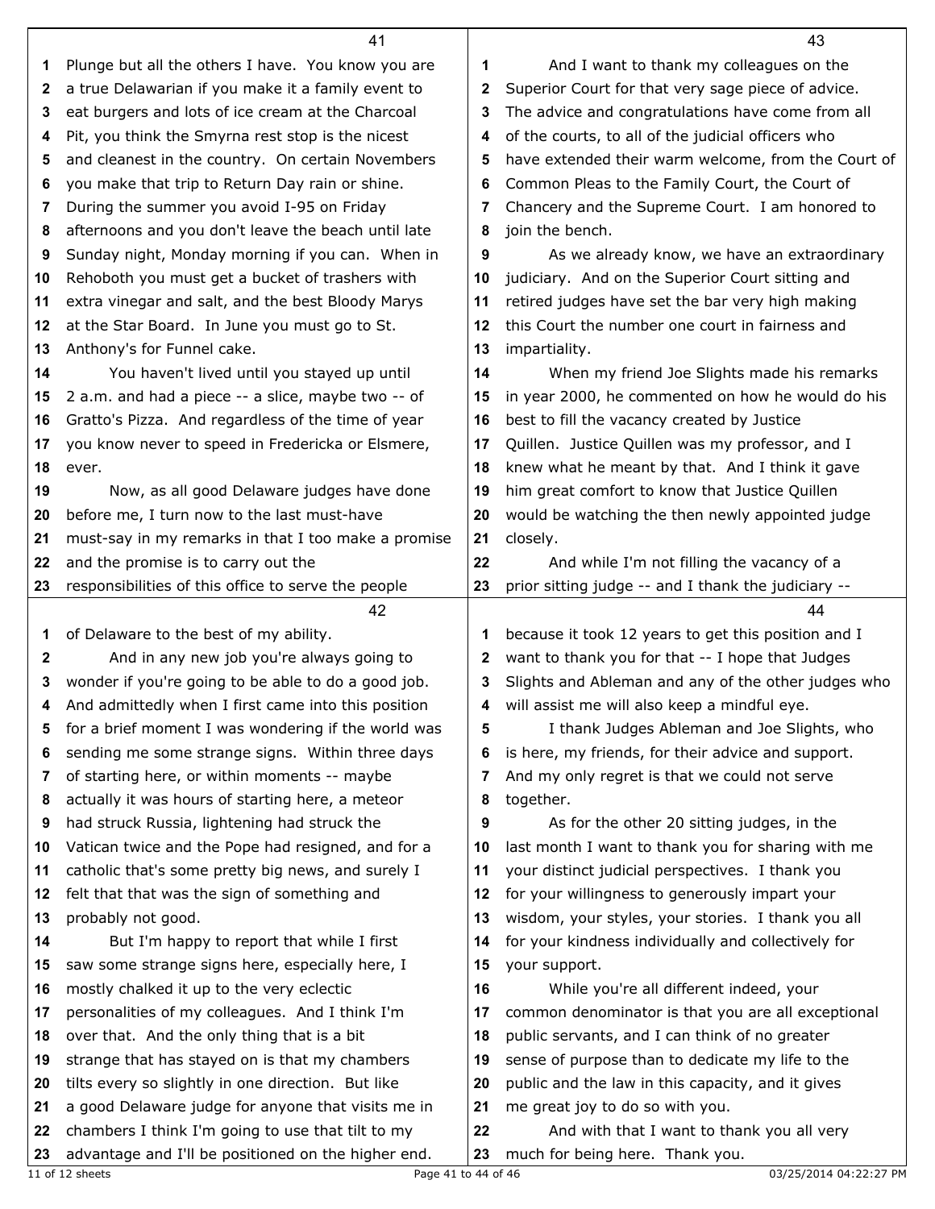|    | 41                                                  |              | 43                                                  |
|----|-----------------------------------------------------|--------------|-----------------------------------------------------|
| 1  | Plunge but all the others I have. You know you are  | 1            | And I want to thank my colleagues on the            |
| 2  | a true Delawarian if you make it a family event to  | $\mathbf{2}$ | Superior Court for that very sage piece of advice.  |
| 3  | eat burgers and lots of ice cream at the Charcoal   | 3            | The advice and congratulations have come from all   |
| 4  | Pit, you think the Smyrna rest stop is the nicest   | 4            | of the courts, to all of the judicial officers who  |
| 5  | and cleanest in the country. On certain Novembers   | 5            | have extended their warm welcome, from the Court of |
| 6  | you make that trip to Return Day rain or shine.     | 6            | Common Pleas to the Family Court, the Court of      |
| 7  | During the summer you avoid I-95 on Friday          | 7            | Chancery and the Supreme Court. I am honored to     |
| 8  | afternoons and you don't leave the beach until late | 8            | join the bench.                                     |
| 9  | Sunday night, Monday morning if you can. When in    | 9            | As we already know, we have an extraordinary        |
| 10 | Rehoboth you must get a bucket of trashers with     | 10           | judiciary. And on the Superior Court sitting and    |
| 11 | extra vinegar and salt, and the best Bloody Marys   | 11           | retired judges have set the bar very high making    |
|    |                                                     |              | this Court the number one court in fairness and     |
| 12 | at the Star Board. In June you must go to St.       | 12           |                                                     |
| 13 | Anthony's for Funnel cake.                          | 13           | impartiality.                                       |
| 14 | You haven't lived until you stayed up until         | 14           | When my friend Joe Slights made his remarks         |
| 15 | 2 a.m. and had a piece -- a slice, maybe two -- of  | 15           | in year 2000, he commented on how he would do his   |
| 16 | Gratto's Pizza. And regardless of the time of year  | 16           | best to fill the vacancy created by Justice         |
| 17 | you know never to speed in Fredericka or Elsmere,   | 17           | Quillen. Justice Quillen was my professor, and I    |
| 18 | ever.                                               | 18           | knew what he meant by that. And I think it gave     |
| 19 | Now, as all good Delaware judges have done          | 19           | him great comfort to know that Justice Quillen      |
| 20 | before me, I turn now to the last must-have         | 20           | would be watching the then newly appointed judge    |
| 21 | must-say in my remarks in that I too make a promise | 21           | closely.                                            |
| 22 | and the promise is to carry out the                 | 22           | And while I'm not filling the vacancy of a          |
| 23 | responsibilities of this office to serve the people | 23           | prior sitting judge -- and I thank the judiciary -- |
|    | 42                                                  |              | 44                                                  |
| 1  | of Delaware to the best of my ability.              | 1            | because it took 12 years to get this position and I |
| 2  | And in any new job you're always going to           | 2            | want to thank you for that -- I hope that Judges    |
| 3  | wonder if you're going to be able to do a good job. | 3            | Slights and Ableman and any of the other judges who |
|    | And admittedly when I first came into this position |              | 4 will assist me will also keep a mindful eye.      |
| 5  | for a brief moment I was wondering if the world was | 5            | I thank Judges Ableman and Joe Slights, who         |
| 6  | sending me some strange signs. Within three days    | 6            | is here, my friends, for their advice and support.  |
| 7  | of starting here, or within moments -- maybe        | 7            | And my only regret is that we could not serve       |
| 8  | actually it was hours of starting here, a meteor    | 8            | together.                                           |
| 9  | had struck Russia, lightening had struck the        | 9            | As for the other 20 sitting judges, in the          |
| 10 | Vatican twice and the Pope had resigned, and for a  | 10           | last month I want to thank you for sharing with me  |
| 11 | catholic that's some pretty big news, and surely I  | 11           | your distinct judicial perspectives. I thank you    |
| 12 | felt that that was the sign of something and        | 12           | for your willingness to generously impart your      |
| 13 | probably not good.                                  | 13           | wisdom, your styles, your stories. I thank you all  |
| 14 | But I'm happy to report that while I first          | 14           | for your kindness individually and collectively for |
| 15 | saw some strange signs here, especially here, I     | 15           | your support.                                       |
| 16 | mostly chalked it up to the very eclectic           | 16           | While you're all different indeed, your             |
| 17 | personalities of my colleagues. And I think I'm     | 17           | common denominator is that you are all exceptional  |
| 18 | over that. And the only thing that is a bit         | 18           | public servants, and I can think of no greater      |
| 19 | strange that has stayed on is that my chambers      | 19           | sense of purpose than to dedicate my life to the    |
| 20 | tilts every so slightly in one direction. But like  | 20           | public and the law in this capacity, and it gives   |
| 21 | a good Delaware judge for anyone that visits me in  | 21           | me great joy to do so with you.                     |
| 22 | chambers I think I'm going to use that tilt to my   | 22           | And with that I want to thank you all very          |
| 23 | advantage and I'll be positioned on the higher end. | 23           | much for being here. Thank you.                     |